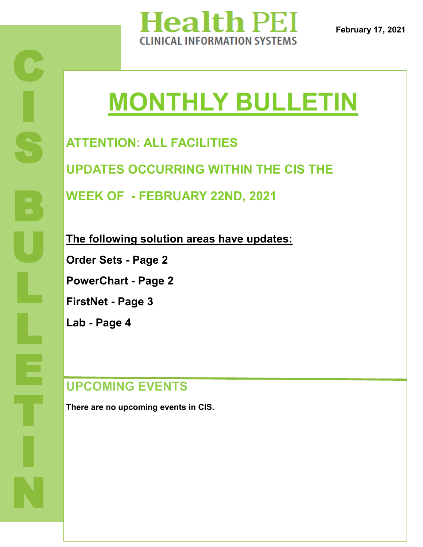

**February 17, 2021**

# **MONTHLY BULLETIN**

**ATTENTION: ALL FACILITIES UPDATES OCCURRING WITHIN THE CIS THE WEEK OF - FEBRUARY 22ND, 2021**

**The following solution areas have updates: Order Sets - Page 2 PowerChart - Page 2 FirstNet - Page 3 Lab - Page 4**

## **UPCOMING EVENTS**

**There are no upcoming events in CIS.**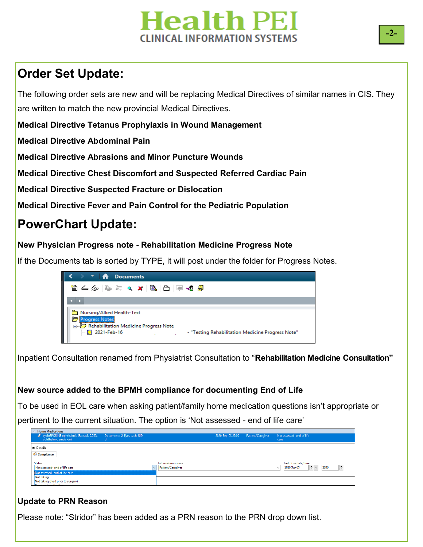# **Health PEI INICAL INFORMATION SYSTEMS**

# **Order Set Update:**

The following order sets are new and will be replacing Medical Directives of similar names in CIS. They are written to match the new provincial Medical Directives.

**Medical Directive Tetanus Prophylaxis in Wound Management**

**Medical Directive Abdominal Pain**

**Medical Directive Abrasions and Minor Puncture Wounds**

**Medical Directive Chest Discomfort and Suspected Referred Cardiac Pain**

**Medical Directive Suspected Fracture or Dislocation**

**Medical Directive Fever and Pain Control for the Pediatric Population**

# **PowerChart Update:**

#### **New Physician Progress note - Rehabilitation Medicine Progress Note**

If the Documents tab is sorted by TYPE, it will post under the folder for Progress Notes.



Inpatient Consultation renamed from Physiatrist Consultation to "**Rehabilitation Medicine Consultation"** 

### **New source added to the BPMH compliance for documenting End of Life**

To be used in EOL care when asking patient/family home medication questions isn't appropriate or pertinent to the current situation. The option is 'Not assessed - end of life care'

| 4 Home Medications                                                  |                    |                                        |                                                                                      |
|---------------------------------------------------------------------|--------------------|----------------------------------------|--------------------------------------------------------------------------------------|
| cycloSPORINE ophthalmic (Restasis 0.05% Documente 2, Eyes each, BID |                    | Patient/Caregiver<br>2020-Sep-03 22:00 | Not assessed-end of life                                                             |
| ophthalmic emulsion)                                                |                    | care                                   |                                                                                      |
|                                                                     |                    |                                        |                                                                                      |
| $\blacktriangleright$ Details                                       |                    |                                        |                                                                                      |
|                                                                     |                    |                                        |                                                                                      |
| Compliance                                                          |                    |                                        |                                                                                      |
|                                                                     |                    |                                        |                                                                                      |
| <b>Status</b>                                                       | Information source |                                        | Last dose date/time                                                                  |
| Not assessed-end of life care                                       | Patient/Caregiver  | $\checkmark$                           | $\left \frac{\mathbf{r}}{\mathbf{r}}\right  \times$<br>2200<br>2020-Sep-03<br>$\div$ |
| Not assessed- end of life care                                      |                    |                                        |                                                                                      |
| Not taking                                                          |                    |                                        |                                                                                      |
| Not taking (held prior to surgery)                                  |                    |                                        |                                                                                      |
| <b>Dominaclaughtastian</b>                                          |                    |                                        |                                                                                      |

#### **Update to PRN Reason**

Please note: "Stridor" has been added as a PRN reason to the PRN drop down list.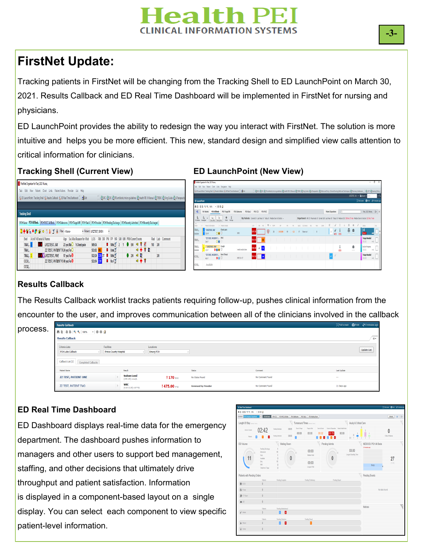# **Tealth PET INICAL INFORMATION SYSTEMS**

## **FirstNet Update:**

Tracking patients in FirstNet will be changing from the Tracking Shell to ED LaunchPoint on March 30, 2021. Results Callback and ED Real Time Dashboard will be implemented in FirstNet for nursing and physicians.

ED LaunchPoint provides the ability to redesign the way you interact with FirstNet. The solution is more intuitive and helps you be more efficient. This new, standard design and simplified view calls attention to critical information for clinicians.

#### **Tracking Shell (Current View) ED LaunchPoint (New View)**



#### **Results Callback**

The Results Callback worklist tracks patients requiring follow-up, pushes clinical information from the encounter to the user, and improves communication between all of the clinicians involved in the callback

| <b>Results Callback</b><br>process. |                                       |                                             |                                                 |                               |                             |                  | [D] Full screen (D] Print <a> Q<br/> 0 minutes ago</a> |
|-------------------------------------|---------------------------------------|---------------------------------------------|-------------------------------------------------|-------------------------------|-----------------------------|------------------|--------------------------------------------------------|
|                                     | <b>ARABEANION - 000</b>               |                                             |                                                 |                               |                             |                  |                                                        |
| <b>Results Callback</b>             |                                       |                                             |                                                 |                               |                             |                  | __<br>`≡∗                                              |
| Criteria Lists<br>PCH Labs Callback |                                       | Facilities<br><b>Prince County Hospital</b> |                                                 | Locations<br><b>Emerg PCH</b> |                             |                  | <b>Update List</b>                                     |
|                                     | Callback List (2) Completed Callbacks |                                             |                                                 |                               |                             |                  |                                                        |
| Patient Name                        |                                       |                                             | Result                                          |                               | Status                      | Comment          | Last Update                                            |
|                                     | <b>ZZ TEST, PATIENT ONE</b>           |                                             | <b>Sodium Level</b><br>(135-145) mmd/L          | $!170$ as $0$                 | No Status Found             | No Comment Found | $\sim$                                                 |
|                                     | ZZ TEST, PATIENT TWO                  |                                             | <b>WBC</b><br>$(4.50 - 11.00) \times 10^{-6}$ % | $!475.00 \,\mathrm{m}$        | <b>Reviewed by Provider</b> | No Comment Found | 21 Days ago                                            |

### **ED Real Time Dashboard**

display. You can select each component to view specific patient-level information. ED Dashboard displays real-time data for the emergency department. The dashboard pushes information to managers and other users to support bed management, staffing, and other decisions that ultimately drive throughput and patient satisfaction. Information is displayed in a component-based layout on a single